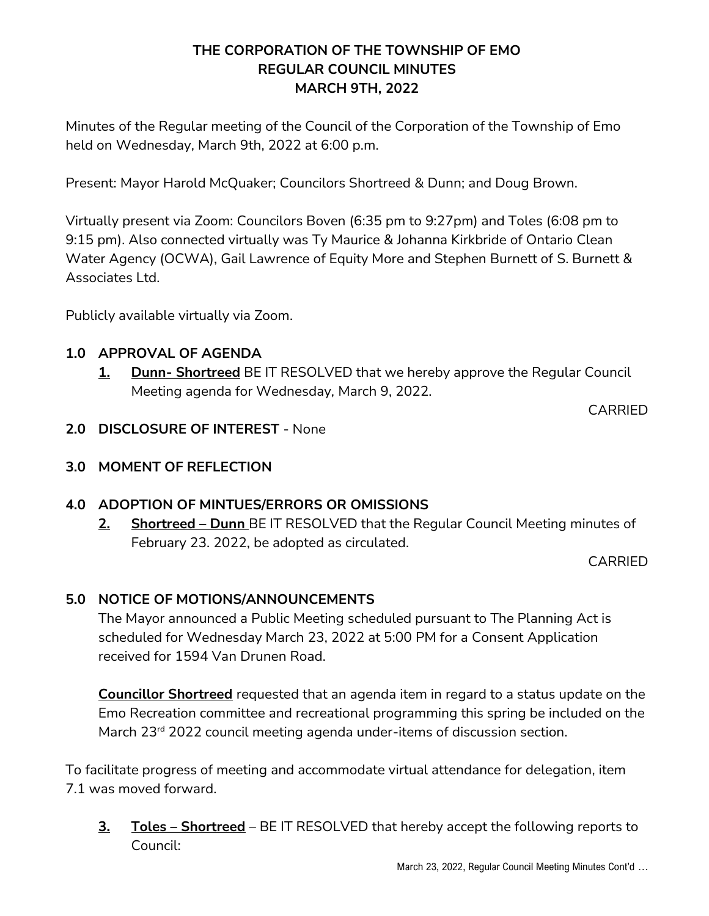# **THE CORPORATION OF THE TOWNSHIP OF EMO REGULAR COUNCIL MINUTES MARCH 9TH, 2022**

Minutes of the Regular meeting of the Council of the Corporation of the Township of Emo held on Wednesday, March 9th, 2022 at 6:00 p.m.

Present: Mayor Harold McQuaker; Councilors Shortreed & Dunn; and Doug Brown.

Virtually present via Zoom: Councilors Boven (6:35 pm to 9:27pm) and Toles (6:08 pm to 9:15 pm). Also connected virtually was Ty Maurice & Johanna Kirkbride of Ontario Clean Water Agency (OCWA), Gail Lawrence of Equity More and Stephen Burnett of S. Burnett & Associates Ltd.

Publicly available virtually via Zoom.

## **1.0 APPROVAL OF AGENDA**

**1. Dunn- Shortreed** BE IT RESOLVED that we hereby approve the Regular Council Meeting agenda for Wednesday, March 9, 2022.

CARRIED

- **2.0 DISCLOSURE OF INTEREST** None
- **3.0 MOMENT OF REFLECTION**

# **4.0 ADOPTION OF MINTUES/ERRORS OR OMISSIONS**

**2. Shortreed – Dunn** BE IT RESOLVED that the Regular Council Meeting minutes of February 23. 2022, be adopted as circulated.

CARRIED

# **5.0 NOTICE OF MOTIONS/ANNOUNCEMENTS**

The Mayor announced a Public Meeting scheduled pursuant to The Planning Act is scheduled for Wednesday March 23, 2022 at 5:00 PM for a Consent Application received for 1594 Van Drunen Road.

**Councillor Shortreed** requested that an agenda item in regard to a status update on the Emo Recreation committee and recreational programming this spring be included on the March 23<sup>rd</sup> 2022 council meeting agenda under-items of discussion section.

To facilitate progress of meeting and accommodate virtual attendance for delegation, item 7.1 was moved forward.

**3. Toles – Shortreed** – BE IT RESOLVED that hereby accept the following reports to Council: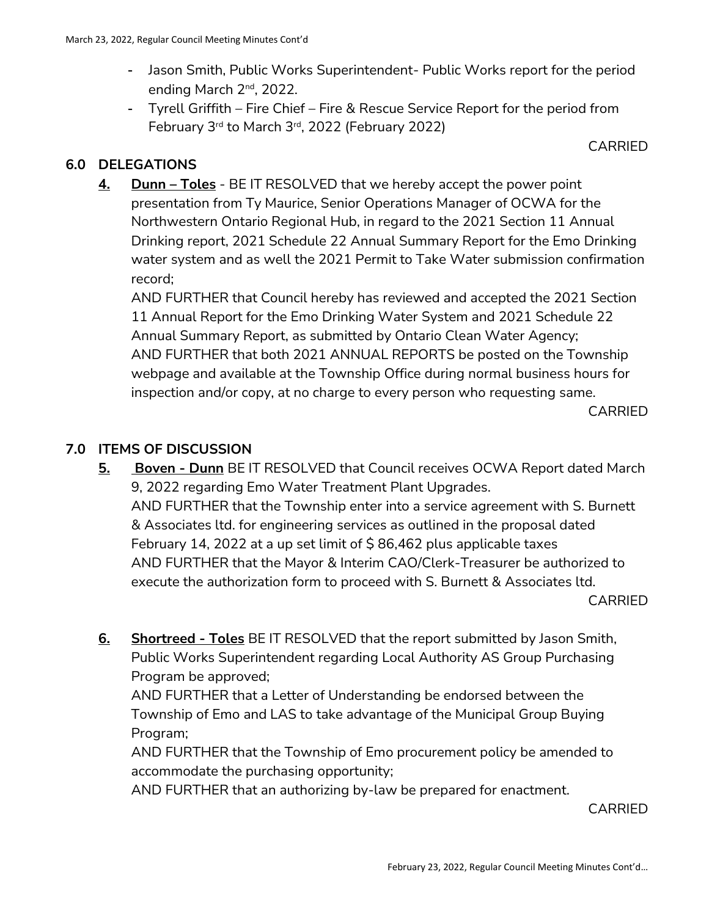- Jason Smith, Public Works Superintendent- Public Works report for the period ending March 2<sup>nd</sup>, 2022.
- Tyrell Griffith Fire Chief Fire & Rescue Service Report for the period from February 3rd to March 3rd, 2022 (February 2022)

CARRIED

## **6.0 DELEGATIONS**

**4. Dunn – Toles** - BE IT RESOLVED that we hereby accept the power point presentation from Ty Maurice, Senior Operations Manager of OCWA for the Northwestern Ontario Regional Hub, in regard to the 2021 Section 11 Annual Drinking report, 2021 Schedule 22 Annual Summary Report for the Emo Drinking water system and as well the 2021 Permit to Take Water submission confirmation record;

AND FURTHER that Council hereby has reviewed and accepted the 2021 Section 11 Annual Report for the Emo Drinking Water System and 2021 Schedule 22 Annual Summary Report, as submitted by Ontario Clean Water Agency; AND FURTHER that both 2021 ANNUAL REPORTS be posted on the Township webpage and available at the Township Office during normal business hours for inspection and/or copy, at no charge to every person who requesting same.

CARRIED

## **7.0 ITEMS OF DISCUSSION**

**5. Boven - Dunn** BE IT RESOLVED that Council receives OCWA Report dated March 9, 2022 regarding Emo Water Treatment Plant Upgrades. AND FURTHER that the Township enter into a service agreement with S. Burnett & Associates ltd. for engineering services as outlined in the proposal dated February 14, 2022 at a up set limit of  $\frac{1}{2}$  86,462 plus applicable taxes AND FURTHER that the Mayor & Interim CAO/Clerk-Treasurer be authorized to execute the authorization form to proceed with S. Burnett & Associates ltd.

CARRIED

**6. Shortreed - Toles** BE IT RESOLVED that the report submitted by Jason Smith, Public Works Superintendent regarding Local Authority AS Group Purchasing Program be approved;

AND FURTHER that a Letter of Understanding be endorsed between the Township of Emo and LAS to take advantage of the Municipal Group Buying Program;

AND FURTHER that the Township of Emo procurement policy be amended to accommodate the purchasing opportunity;

AND FURTHER that an authorizing by-law be prepared for enactment.

CARRIED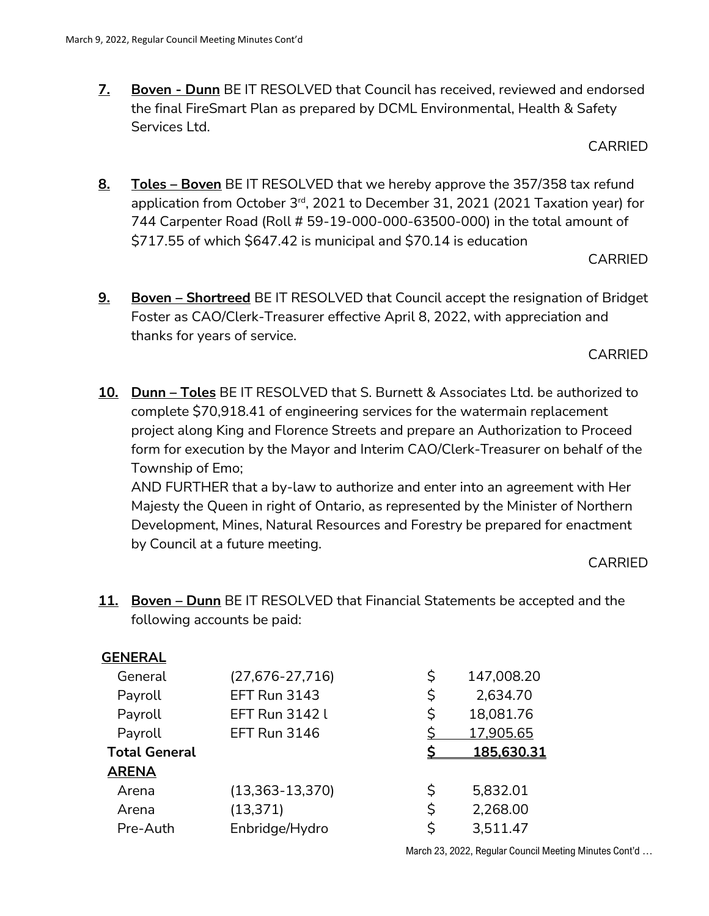**7. Boven - Dunn** BE IT RESOLVED that Council has received, reviewed and endorsed the final FireSmart Plan as prepared by DCML Environmental, Health & Safety Services Ltd.

CARRIED

**8. Toles – Boven** BE IT RESOLVED that we hereby approve the 357/358 tax refund application from October 3<sup>rd</sup>, 2021 to December 31, 2021 (2021 Taxation year) for 744 Carpenter Road (Roll # 59-19-000-000-63500-000) in the total amount of \$717.55 of which \$647.42 is municipal and \$70.14 is education

CARRIED

**9. Boven – Shortreed** BE IT RESOLVED that Council accept the resignation of Bridget Foster as CAO/Clerk-Treasurer effective April 8, 2022, with appreciation and thanks for years of service.

CARRIED

**10. Dunn – Toles** BE IT RESOLVED that S. Burnett & Associates Ltd. be authorized to complete \$70,918.41 of engineering services for the watermain replacement project along King and Florence Streets and prepare an Authorization to Proceed form for execution by the Mayor and Interim CAO/Clerk-Treasurer on behalf of the Township of Emo;

AND FURTHER that a by-law to authorize and enter into an agreement with Her Majesty the Queen in right of Ontario, as represented by the Minister of Northern Development, Mines, Natural Resources and Forestry be prepared for enactment by Council at a future meeting.

CARRIED

**11. Boven – Dunn** BE IT RESOLVED that Financial Statements be accepted and the following accounts be paid:

| <b>GENERAL</b>       |                       |    |                   |
|----------------------|-----------------------|----|-------------------|
| General              | $(27,676-27,716)$     | \$ | 147,008.20        |
| Payroll              | <b>EFT Run 3143</b>   | \$ | 2,634.70          |
| Payroll              | <b>EFT Run 3142 L</b> | \$ | 18,081.76         |
| Payroll              | EFT Run 3146          |    | 17,905.65         |
|                      |                       |    |                   |
| <b>Total General</b> |                       |    | <u>185,630.31</u> |
| <b>ARENA</b>         |                       |    |                   |
| Arena                | $(13,363-13,370)$     | \$ | 5,832.01          |
| Arena                | (13, 371)             | \$ | 2,268.00          |
| Pre-Auth             | Enbridge/Hydro        | Ś  | 3,511.47          |

March 23, 2022, Regular Council Meeting Minutes Cont'd …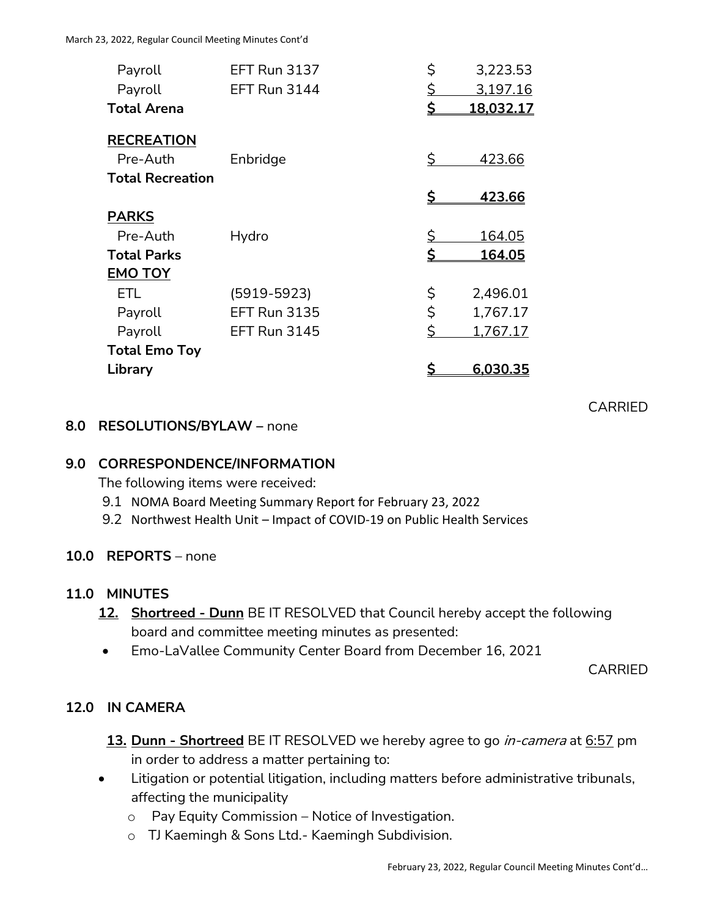| Payroll                 | <b>EFT Run 3137</b> | \$        | 3,223.53  |
|-------------------------|---------------------|-----------|-----------|
| Payroll                 | <b>EFT Run 3144</b> | <u>\$</u> | 3,197.16  |
| <b>Total Arena</b>      |                     | \$        | 18,032.17 |
| <b>RECREATION</b>       |                     |           |           |
| Pre-Auth                | Enbridge            | \$.       | 423.66    |
| <b>Total Recreation</b> |                     |           |           |
|                         |                     |           | 423.66    |
| <b>PARKS</b>            |                     |           |           |
| Pre-Auth                | Hydro               | <u>\$</u> | 164.05    |
| <b>Total Parks</b>      |                     | \$        | 164.05    |
| <b>EMO TOY</b>          |                     |           |           |
| <b>ETL</b>              | $(5919 - 5923)$     | \$        | 2,496.01  |
| Payroll                 | <b>EFT Run 3135</b> | \$        | 1,767.17  |
| Payroll                 | <b>EFT Run 3145</b> | \$        | 1,767.17  |
| <b>Total Emo Toy</b>    |                     |           |           |
| Library                 |                     |           | 6,030.35  |

### **8.0 RESOLUTIONS/BYLAW –** none

### **9.0 CORRESPONDENCE/INFORMATION**

The following items were received:

- 9.1 NOMA Board Meeting Summary Report for February 23, 2022
- 9.2 Northwest Health Unit Impact of COVID-19 on Public Health Services

### **10.0 REPORTS** – none

### **11.0 MINUTES**

- **12. Shortreed - Dunn** BE IT RESOLVED that Council hereby accept the following board and committee meeting minutes as presented:
- Emo-LaVallee Community Center Board from December 16, 2021

CARRIED

CARRIED

### **12.0 IN CAMERA**

- **13. Dunn - Shortreed** BE IT RESOLVED we hereby agree to go in-camera at 6:57 pm in order to address a matter pertaining to:
- Litigation or potential litigation, including matters before administrative tribunals, affecting the municipality
	- o Pay Equity Commission Notice of Investigation.
	- o TJ Kaemingh & Sons Ltd.- Kaemingh Subdivision.